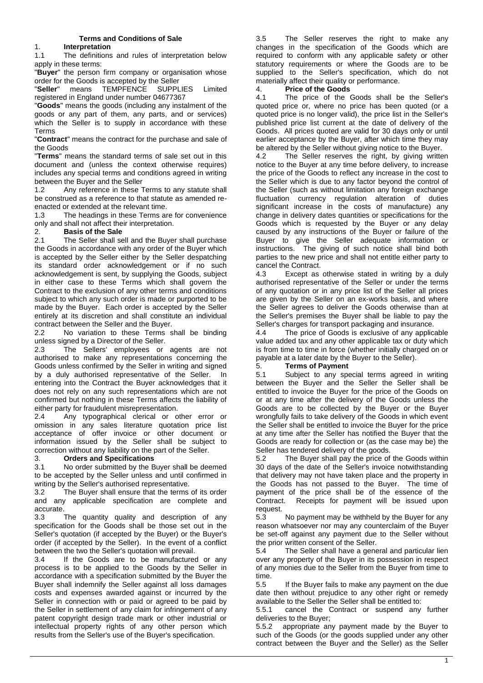## 1. **Interpretation**

1.1 The definitions and rules of interpretation below apply in these terms:

"**Buyer**" the person firm company or organisation whose order for the Goods is accepted by the Seller<br>"Seller" means TEMPFENCE SUPPL

"**Seller**" means TEMPFENCE SUPPLIES Limited registered in England under number 04677367

"**Goods**" means the goods (including any instalment of the goods or any part of them, any parts, and or services) which the Seller is to supply in accordance with these Terms

"**Contract**" means the contract for the purchase and sale of the Goods

"**Terms**" means the standard terms of sale set out in this document and (unless the context otherwise requires) includes any special terms and conditions agreed in writing between the Buyer and the Seller

1.2 Any reference in these Terms to any statute shall be construed as a reference to that statute as amended reenacted or extended at the relevant time.

1.3 The headings in these Terms are for convenience only and shall not affect their interpretation.

## 2. **Basis of the Sale**

2.1 The Seller shall sell and the Buyer shall purchase the Goods in accordance with any order of the Buyer which is accepted by the Seller either by the Seller despatching its standard order acknowledgement or if no such acknowledgement is sent, by supplying the Goods, subject in either case to these Terms which shall govern the Contract to the exclusion of any other terms and conditions subject to which any such order is made or purported to be made by the Buyer. Each order is accepted by the Seller entirely at its discretion and shall constitute an individual contract between the Seller and the Buyer.

2.2 No variation to these Terms shall be binding unless signed by a Director of the Seller.

2.3 The Sellers' employees or agents are not authorised to make any representations concerning the Goods unless confirmed by the Seller in writing and signed by a duly authorised representative of the Seller. In entering into the Contract the Buyer acknowledges that it does not rely on any such representations which are not confirmed but nothing in these Terms affects the liability of either party for fraudulent misrepresentation.

2.4 Any typographical clerical or other error or omission in any sales literature quotation price list acceptance of offer invoice or other document or information issued by the Seller shall be subject to correction without any liability on the part of the Seller.

# 3. **Orders and Specifications**

3.1 No order submitted by the Buyer shall be deemed to be accepted by the Seller unless and until confirmed in writing by the Seller's authorised representative.

3.2 The Buyer shall ensure that the terms of its order and any applicable specification are complete and accurate.

3.3 The quantity quality and description of any specification for the Goods shall be those set out in the Seller's quotation (if accepted by the Buyer) or the Buyer's order (if accepted by the Seller). In the event of a conflict between the two the Seller's quotation will prevail.

3.4 If the Goods are to be manufactured or any process is to be applied to the Goods by the Seller in accordance with a specification submitted by the Buyer the Buyer shall indemnify the Seller against all loss damages costs and expenses awarded against or incurred by the Seller in connection with or paid or agreed to be paid by the Seller in settlement of any claim for infringement of any patent copyright design trade mark or other industrial or intellectual property rights of any other person which results from the Seller's use of the Buyer's specification.

3.5 The Seller reserves the right to make any changes in the specification of the Goods which are required to conform with any applicable safety or other statutory requirements or where the Goods are to be supplied to the Seller's specification, which do not materially affect their quality or performance.

#### 4. **Price of the Goods**

4.1 The price of the Goods shall be the Seller's quoted price or, where no price has been quoted (or a quoted price is no longer valid), the price list in the Seller's published price list current at the date of delivery of the Goods. All prices quoted are valid for 30 days only or until earlier acceptance by the Buyer, after which time they may be altered by the Seller without giving notice to the Buyer.

4.2 The Seller reserves the right, by giving written notice to the Buyer at any time before delivery, to increase the price of the Goods to reflect any increase in the cost to the Seller which is due to any factor beyond the control of the Seller (such as without limitation any foreign exchange fluctuation currency regulation alteration of duties significant increase in the costs of manufacture) any change in delivery dates quantities or specifications for the Goods which is requested by the Buyer or any delay caused by any instructions of the Buyer or failure of the Buyer to give the Seller adequate information or instructions. The giving of such notice shall bind both parties to the new price and shall not entitle either party to cancel the Contract.<br>4.3 Except as

Except as otherwise stated in writing by a duly authorised representative of the Seller or under the terms of any quotation or in any price list of the Seller all prices are given by the Seller on an ex-works basis, and where the Seller agrees to deliver the Goods otherwise than at the Seller's premises the Buyer shall be liable to pay the Seller's charges for transport packaging and insurance.

4.4 The price of Goods is exclusive of any applicable value added tax and any other applicable tax or duty which is from time to time in force (whether initially charged on or payable at a later date by the Buyer to the Seller).

## 5. **Terms of Payment**

5.1 Subject to any special terms agreed in writing between the Buyer and the Seller the Seller shall be entitled to invoice the Buyer for the price of the Goods on or at any time after the delivery of the Goods unless the Goods are to be collected by the Buyer or the Buyer wrongfully fails to take delivery of the Goods in which event the Seller shall be entitled to invoice the Buyer for the price at any time after the Seller has notified the Buyer that the Goods are ready for collection or (as the case may be) the Seller has tendered delivery of the goods.

5.2 The Buyer shall pay the price of the Goods within 30 days of the date of the Seller's invoice notwithstanding that delivery may not have taken place and the property in the Goods has not passed to the Buyer. The time of payment of the price shall be of the essence of the Contract. Receipts for payment will be issued upon request.

5.3 No payment may be withheld by the Buyer for any reason whatsoever nor may any counterclaim of the Buyer be set-off against any payment due to the Seller without the prior written consent of the Seller.

5.4 The Seller shall have a general and particular lien over any property of the Buyer in its possession in respect of any monies due to the Seller from the Buyer from time to time.

5.5 If the Buyer fails to make any payment on the due date then without prejudice to any other right or remedy available to the Seller the Seller shall be entitled to:

5.5.1 cancel the Contract or suspend any further deliveries to the Buyer;

5.5.2 appropriate any payment made by the Buyer to such of the Goods (or the goods supplied under any other contract between the Buyer and the Seller) as the Seller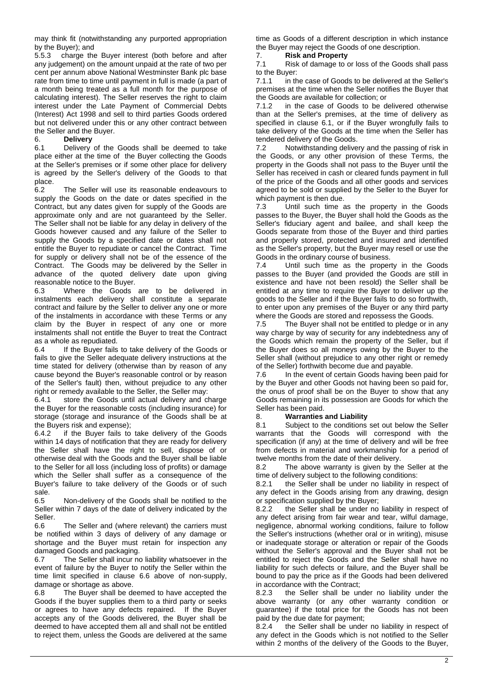may think fit (notwithstanding any purported appropriation by the Buyer); and

5.5.3 charge the Buyer interest (both before and after any judgement) on the amount unpaid at the rate of two per cent per annum above National Westminster Bank plc base rate from time to time until payment in full is made (a part of a month being treated as a full month for the purpose of calculating interest). The Seller reserves the right to claim interest under the Late Payment of Commercial Debts (Interest) Act 1998 and sell to third parties Goods ordered but not delivered under this or any other contract between the Seller and the Buyer.<br>6. **Delivery** 

#### 6. **Delivery**

6.1 Delivery of the Goods shall be deemed to take place either at the time of the Buyer collecting the Goods at the Seller's premises or if some other place for delivery is agreed by the Seller's delivery of the Goods to that place.<br>6.2

The Seller will use its reasonable endeavours to supply the Goods on the date or dates specified in the Contract, but any dates given for supply of the Goods are approximate only and are not guaranteed by the Seller. The Seller shall not be liable for any delay in delivery of the Goods however caused and any failure of the Seller to supply the Goods by a specified date or dates shall not entitle the Buyer to repudiate or cancel the Contract. Time for supply or delivery shall not be of the essence of the Contract. The Goods may be delivered by the Seller in advance of the quoted delivery date upon giving reasonable notice to the Buyer.

6.3 Where the Goods are to be delivered in instalments each delivery shall constitute a separate contract and failure by the Seller to deliver any one or more of the instalments in accordance with these Terms or any claim by the Buyer in respect of any one or more instalments shall not entitle the Buyer to treat the Contract as a whole as repudiated.

6.4 If the Buyer fails to take delivery of the Goods or fails to give the Seller adequate delivery instructions at the time stated for delivery (otherwise than by reason of any cause beyond the Buyer's reasonable control or by reason of the Seller's fault) then, without prejudice to any other right or remedy available to the Seller, the Seller may:

6.4.1 store the Goods until actual delivery and charge the Buyer for the reasonable costs (including insurance) for storage (storage and insurance of the Goods shall be at the Buyers risk and expense);

6.4.2 if the Buyer fails to take delivery of the Goods within 14 days of notification that they are ready for delivery the Seller shall have the right to sell, dispose of or otherwise deal with the Goods and the Buyer shall be liable to the Seller for all loss (including loss of profits) or damage which the Seller shall suffer as a consequence of the Buyer's failure to take delivery of the Goods or of such sale.

6.5 Non-delivery of the Goods shall be notified to the Seller within 7 days of the date of delivery indicated by the Seller.

6.6 The Seller and (where relevant) the carriers must be notified within 3 days of delivery of any damage or shortage and the Buyer must retain for inspection any damaged Goods and packaging.

6.7 The Seller shall incur no liability whatsoever in the event of failure by the Buyer to notify the Seller within the time limit specified in clause 6.6 above of non-supply, damage or shortage as above.

6.8 The Buyer shall be deemed to have accepted the Goods if the buyer supplies them to a third party or seeks or agrees to have any defects repaired. If the Buyer accepts any of the Goods delivered, the Buyer shall be deemed to have accepted them all and shall not be entitled to reject them, unless the Goods are delivered at the same time as Goods of a different description in which instance the Buyer may reject the Goods of one description.

#### 7. **Risk and Property**

7.1 Risk of damage to or loss of the Goods shall pass to the Buyer:

7.1.1 in the case of Goods to be delivered at the Seller's premises at the time when the Seller notifies the Buyer that the Goods are available for collection; or

7.1.2 in the case of Goods to be delivered otherwise than at the Seller's premises, at the time of delivery as specified in clause 6.1, or if the Buyer wrongfully fails to take delivery of the Goods at the time when the Seller has tendered delivery of the Goods.

7.2 Notwithstanding delivery and the passing of risk in the Goods, or any other provision of these Terms, the property in the Goods shall not pass to the Buyer until the Seller has received in cash or cleared funds payment in full of the price of the Goods and all other goods and services agreed to be sold or supplied by the Seller to the Buyer for which payment is then due.

7.3 Until such time as the property in the Goods passes to the Buyer, the Buyer shall hold the Goods as the Seller's fiduciary agent and bailee, and shall keep the Goods separate from those of the Buyer and third parties and properly stored, protected and insured and identified as the Seller's property, but the Buyer may resell or use the Goods in the ordinary course of business.

7.4 Until such time as the property in the Goods passes to the Buyer (and provided the Goods are still in existence and have not been resold) the Seller shall be entitled at any time to require the Buyer to deliver up the goods to the Seller and if the Buyer fails to do so forthwith, to enter upon any premises of the Buyer or any third party where the Goods are stored and repossess the Goods.

7.5 The Buyer shall not be entitled to pledge or in any way charge by way of security for any indebtedness any of the Goods which remain the property of the Seller, but if the Buyer does so all moneys owing by the Buyer to the Seller shall (without prejudice to any other right or remedy of the Seller) forthwith become due and payable.

7.6 In the event of certain Goods having been paid for by the Buyer and other Goods not having been so paid for, the onus of proof shall be on the Buyer to show that any Goods remaining in its possession are Goods for which the Seller has been paid.

## 8. **Warranties and Liability**

8.1 Subject to the conditions set out below the Seller warrants that the Goods will correspond with the specification (if any) at the time of delivery and will be free from defects in material and workmanship for a period of twelve months from the date of their delivery.

8.2 The above warranty is given by the Seller at the time of delivery subject to the following conditions:

8.2.1 the Seller shall be under no liability in respect of any defect in the Goods arising from any drawing, design or specification supplied by the Buyer;

8.2.2 the Seller shall be under no liability in respect of any defect arising from fair wear and tear, wilful damage, negligence, abnormal working conditions, failure to follow the Seller's instructions (whether oral or in writing), misuse or inadequate storage or alteration or repair of the Goods without the Seller's approval and the Buyer shall not be entitled to reject the Goods and the Seller shall have no liability for such defects or failure, and the Buyer shall be bound to pay the price as if the Goods had been delivered in accordance with the Contract;

8.2.3 the Seller shall be under no liability under the above warranty (or any other warranty condition or guarantee) if the total price for the Goods has not been paid by the due date for payment;

8.2.4 the Seller shall be under no liability in respect of any defect in the Goods which is not notified to the Seller within 2 months of the delivery of the Goods to the Buyer,